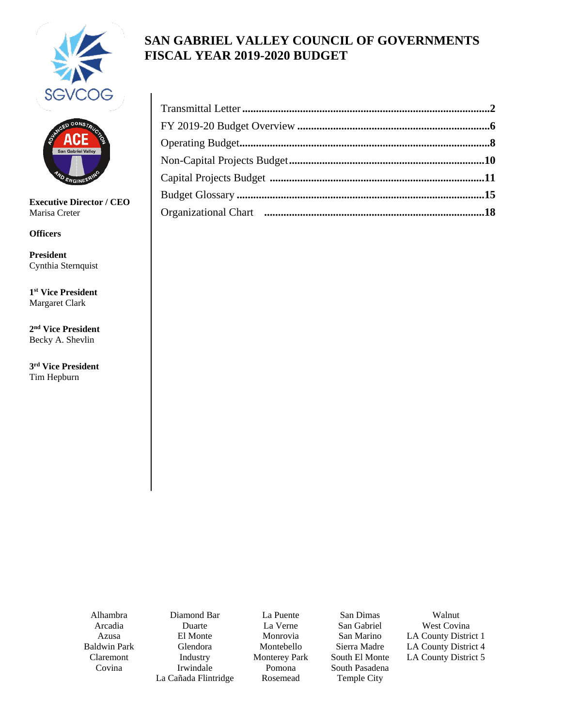



**Executive Director / CEO** Marisa Creter

**Officers**

**President** Cynthia Sternquist

**1st Vice President** Margaret Clark

**2nd Vice President** Becky A. Shevlin

**3rd Vice President** Tim Hepburn

# **SAN GABRIEL VALLEY COUNCIL OF GOVERNMENTS FISCAL YEAR 2019-2020 BUDGET**

Alhambra Arcadia Azusa Baldwin Park Claremont Covina

Diamond Bar Duarte El Monte Glendora Industry Irwindale La Cañada Flintridge

La Puente La Verne Monrovia Montebello Monterey Park Pomona Rosemead

San Dimas San Gabriel San Marino Sierra Madre South El Monte South Pasadena Temple City

Walnut West Covina LA County District 1 LA County District 4 LA County District 5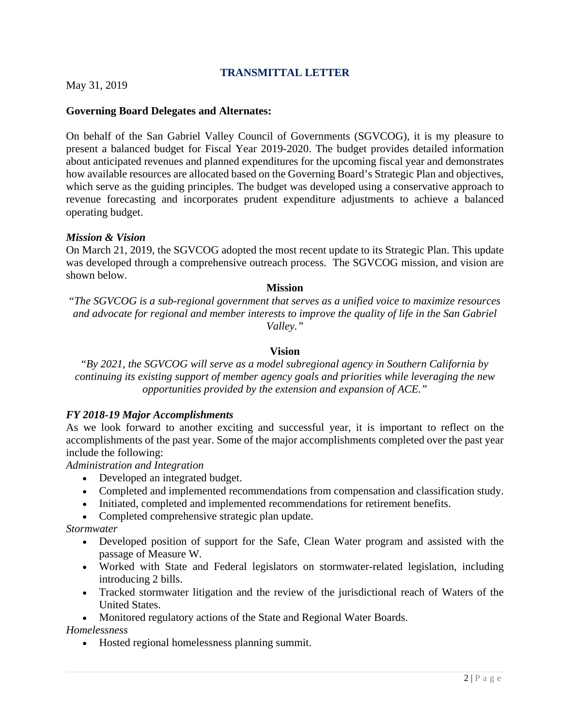## **TRANSMITTAL LETTER**

<span id="page-1-0"></span>May 31, 2019

#### **Governing Board Delegates and Alternates:**

On behalf of the San Gabriel Valley Council of Governments (SGVCOG), it is my pleasure to present a balanced budget for Fiscal Year 2019-2020. The budget provides detailed information about anticipated revenues and planned expenditures for the upcoming fiscal year and demonstrates how available resources are allocated based on the Governing Board's Strategic Plan and objectives, which serve as the guiding principles. The budget was developed using a conservative approach to revenue forecasting and incorporates prudent expenditure adjustments to achieve a balanced operating budget.

#### *Mission & Vision*

On March 21, 2019, the SGVCOG adopted the most recent update to its Strategic Plan. This update was developed through a comprehensive outreach process. The SGVCOG mission, and vision are shown below.

#### **Mission**

"*The SGVCOG is a sub-regional government that serves as a unified voice to maximize resources and advocate for regional and member interests to improve the quality of life in the San Gabriel Valley."*

#### **Vision**

"*By 2021, the SGVCOG will serve as a model subregional agency in Southern California by continuing its existing support of member agency goals and priorities while leveraging the new opportunities provided by the extension and expansion of ACE."*

#### *FY 2018-19 Major Accomplishments*

As we look forward to another exciting and successful year, it is important to reflect on the accomplishments of the past year. Some of the major accomplishments completed over the past year include the following:

*Administration and Integration*

- Developed an integrated budget.
- Completed and implemented recommendations from compensation and classification study.
- Initiated, completed and implemented recommendations for retirement benefits.
- Completed comprehensive strategic plan update.

*Stormwater*

- Developed position of support for the Safe, Clean Water program and assisted with the passage of Measure W.
- Worked with State and Federal legislators on stormwater-related legislation, including introducing 2 bills.
- Tracked stormwater litigation and the review of the jurisdictional reach of Waters of the United States.

• Monitored regulatory actions of the State and Regional Water Boards.

#### *Homelessness*

• Hosted regional homelessness planning summit.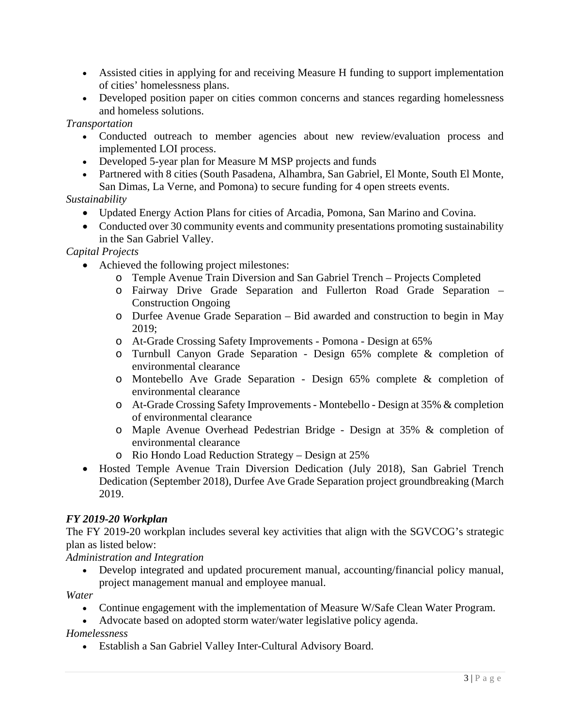- Assisted cities in applying for and receiving Measure H funding to support implementation of cities' homelessness plans.
- Developed position paper on cities common concerns and stances regarding homelessness and homeless solutions.

*Transportation* 

- Conducted outreach to member agencies about new review/evaluation process and implemented LOI process.
- Developed 5-year plan for Measure M MSP projects and funds
- Partnered with 8 cities (South Pasadena, Alhambra, San Gabriel, El Monte, South El Monte, San Dimas, La Verne, and Pomona) to secure funding for 4 open streets events.

## *Sustainability*

- Updated Energy Action Plans for cities of Arcadia, Pomona, San Marino and Covina.
- Conducted over 30 community events and community presentations promoting sustainability in the San Gabriel Valley.

## *Capital Projects*

- Achieved the following project milestones:
	- o Temple Avenue Train Diversion and San Gabriel Trench Projects Completed
	- o Fairway Drive Grade Separation and Fullerton Road Grade Separation Construction Ongoing
	- o Durfee Avenue Grade Separation Bid awarded and construction to begin in May 2019;
	- o At-Grade Crossing Safety Improvements Pomona Design at 65%
	- o Turnbull Canyon Grade Separation Design 65% complete & completion of environmental clearance
	- o Montebello Ave Grade Separation Design 65% complete & completion of environmental clearance
	- o At-Grade Crossing Safety Improvements Montebello Design at 35% & completion of environmental clearance
	- o Maple Avenue Overhead Pedestrian Bridge Design at 35% & completion of environmental clearance
	- o Rio Hondo Load Reduction Strategy Design at 25%
- Hosted Temple Avenue Train Diversion Dedication (July 2018), San Gabriel Trench Dedication (September 2018), Durfee Ave Grade Separation project groundbreaking (March 2019.

## *FY 2019-20 Workplan*

The FY 2019-20 workplan includes several key activities that align with the SGVCOG's strategic plan as listed below:

*Administration and Integration*

• Develop integrated and updated procurement manual, accounting/financial policy manual, project management manual and employee manual.

*Water*

- Continue engagement with the implementation of Measure W/Safe Clean Water Program.
- Advocate based on adopted storm water/water legislative policy agenda.

*Homelessness*

• Establish a San Gabriel Valley Inter-Cultural Advisory Board.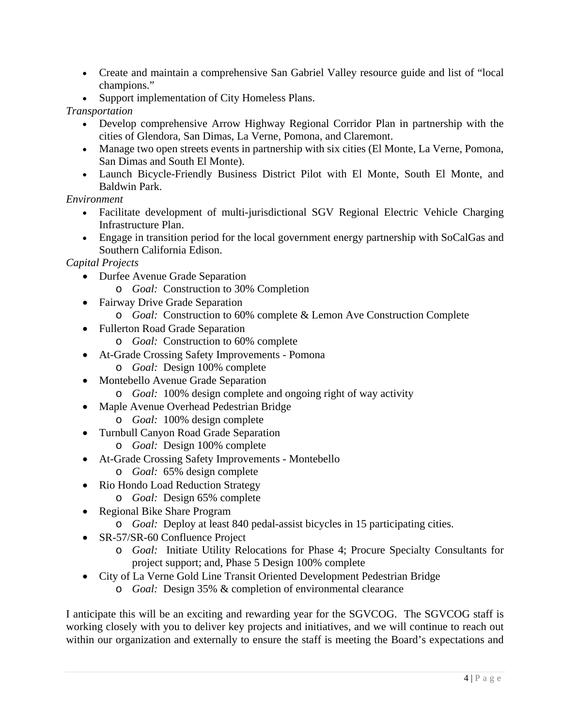- Create and maintain a comprehensive San Gabriel Valley resource guide and list of "local champions."
- Support implementation of City Homeless Plans.

## *Transportation*

- Develop comprehensive Arrow Highway Regional Corridor Plan in partnership with the cities of Glendora, San Dimas, La Verne, Pomona, and Claremont.
- Manage two open streets events in partnership with six cities (El Monte, La Verne, Pomona, San Dimas and South El Monte).
- Launch Bicycle-Friendly Business District Pilot with El Monte, South El Monte, and Baldwin Park.

### *Environment*

- Facilitate development of multi-jurisdictional SGV Regional Electric Vehicle Charging Infrastructure Plan.
- Engage in transition period for the local government energy partnership with SoCalGas and Southern California Edison.

## *Capital Projects*

- Durfee Avenue Grade Separation
	- o *Goal:* Construction to 30% Completion
- Fairway Drive Grade Separation
	- o *Goal:* Construction to 60% complete & Lemon Ave Construction Complete
- Fullerton Road Grade Separation
	- o *Goal:* Construction to 60% complete
- At-Grade Crossing Safety Improvements Pomona
	- o *Goal:* Design 100% complete
- Montebello Avenue Grade Separation
	- o *Goal:* 100% design complete and ongoing right of way activity
- Maple Avenue Overhead Pedestrian Bridge
	- o *Goal:* 100% design complete
- Turnbull Canyon Road Grade Separation
	- o *Goal:* Design 100% complete
- At-Grade Crossing Safety Improvements Montebello
	- o *Goal:* 65% design complete
- Rio Hondo Load Reduction Strategy
- o *Goal:* Design 65% complete
- Regional Bike Share Program
	- o *Goal:* Deploy at least 840 pedal-assist bicycles in 15 participating cities.
- SR-57/SR-60 Confluence Project
	- o *Goal:* Initiate Utility Relocations for Phase 4; Procure Specialty Consultants for project support; and, Phase 5 Design 100% complete
- City of La Verne Gold Line Transit Oriented Development Pedestrian Bridge
	- o *Goal:* Design 35% & completion of environmental clearance

I anticipate this will be an exciting and rewarding year for the SGVCOG. The SGVCOG staff is working closely with you to deliver key projects and initiatives, and we will continue to reach out within our organization and externally to ensure the staff is meeting the Board's expectations and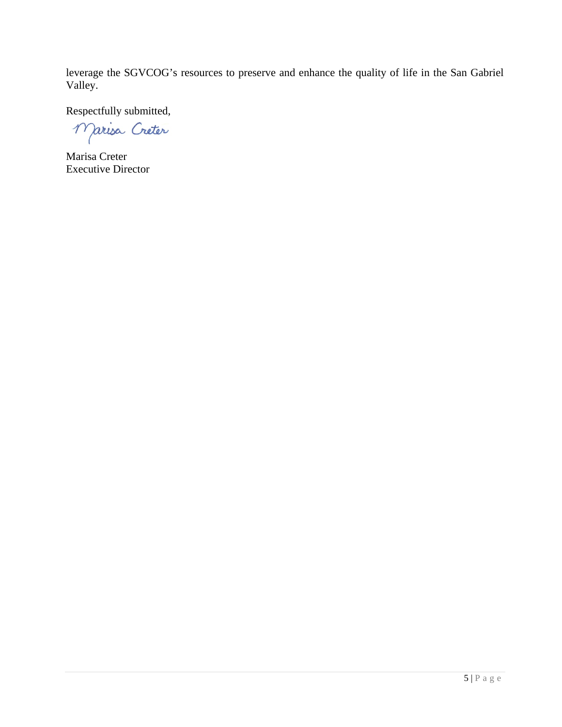leverage the SGVCOG's resources to preserve and enhance the quality of life in the San Gabriel Valley.

Respectfully submitted,

Marisa Créter

Marisa Creter Executive Director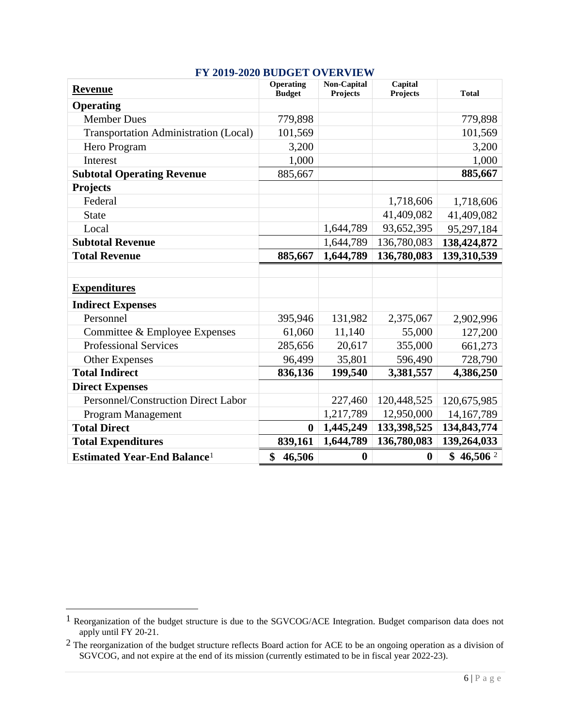<span id="page-5-0"></span>

| <b>Revenue</b>                                 | <b>Operating</b><br><b>Budget</b> | <b>Non-Capital</b><br><b>Projects</b> | Capital<br><b>Projects</b> | <b>Total</b>          |  |
|------------------------------------------------|-----------------------------------|---------------------------------------|----------------------------|-----------------------|--|
| <b>Operating</b>                               |                                   |                                       |                            |                       |  |
| <b>Member Dues</b>                             | 779,898                           |                                       |                            | 779,898               |  |
| <b>Transportation Administration (Local)</b>   | 101,569                           |                                       |                            | 101,569               |  |
| Hero Program                                   | 3,200                             |                                       |                            | 3,200                 |  |
| Interest                                       | 1,000                             |                                       |                            | 1,000                 |  |
| <b>Subtotal Operating Revenue</b>              | 885,667                           |                                       |                            | 885,667               |  |
| <b>Projects</b>                                |                                   |                                       |                            |                       |  |
| Federal                                        |                                   |                                       | 1,718,606                  | 1,718,606             |  |
| <b>State</b>                                   |                                   |                                       | 41,409,082                 | 41,409,082            |  |
| Local                                          |                                   | 1,644,789                             | 93,652,395                 | 95,297,184            |  |
| <b>Subtotal Revenue</b>                        |                                   | 1,644,789                             | 136,780,083                | 138,424,872           |  |
| <b>Total Revenue</b>                           | 885,667                           | 1,644,789                             | 136,780,083                | 139,310,539           |  |
|                                                |                                   |                                       |                            |                       |  |
| <b>Expenditures</b>                            |                                   |                                       |                            |                       |  |
| <b>Indirect Expenses</b>                       |                                   |                                       |                            |                       |  |
| Personnel                                      | 395,946                           | 131,982                               | 2,375,067                  | 2,902,996             |  |
| Committee & Employee Expenses                  | 61,060                            | 11,140                                | 55,000                     | 127,200               |  |
| <b>Professional Services</b>                   | 285,656                           | 20,617                                | 355,000                    | 661,273               |  |
| Other Expenses                                 | 96,499                            | 35,801                                | 596,490                    | 728,790               |  |
| <b>Total Indirect</b>                          | 836,136                           | 199,540                               | 3,381,557                  | 4,386,250             |  |
| <b>Direct Expenses</b>                         |                                   |                                       |                            |                       |  |
| Personnel/Construction Direct Labor            |                                   | 227,460                               | 120,448,525                | 120,675,985           |  |
| Program Management                             |                                   | 1,217,789                             | 12,950,000                 | 14, 167, 789          |  |
| <b>Total Direct</b>                            | $\boldsymbol{0}$                  | 1,445,249                             | 133,398,525                | 134,843,774           |  |
| <b>Total Expenditures</b>                      | 839,161                           | 1,644,789                             | 136,780,083                | 139,264,033           |  |
| <b>Estimated Year-End Balance</b> <sup>1</sup> | \$<br>46,506                      | $\boldsymbol{0}$                      | $\boldsymbol{0}$           | \$46,506 <sup>2</sup> |  |

#### **FY 2019-2020 BUDGET OVERVIEW**

<span id="page-5-1"></span><sup>&</sup>lt;sup>1</sup> Reorganization of the budget structure is due to the SGVCOG/ACE Integration. Budget comparison data does not apply until FY 20-21.

<span id="page-5-2"></span> $2$  The reorganization of the budget structure reflects Board action for ACE to be an ongoing operation as a division of SGVCOG, and not expire at the end of its mission (currently estimated to be in fiscal year 2022-23).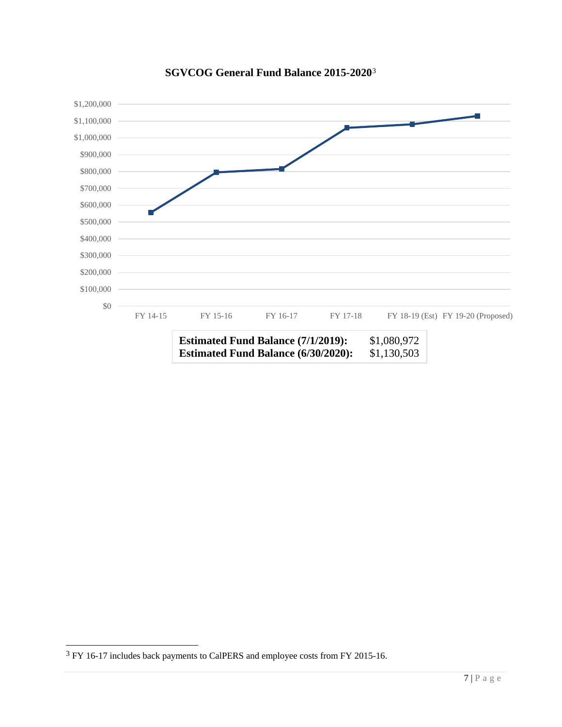

## **SGVCOG General Fund Balance 2015-2020**[3](#page-6-0)

<span id="page-6-0"></span> <sup>3</sup> FY 16-17 includes back payments to CalPERS and employee costs from FY 2015-16.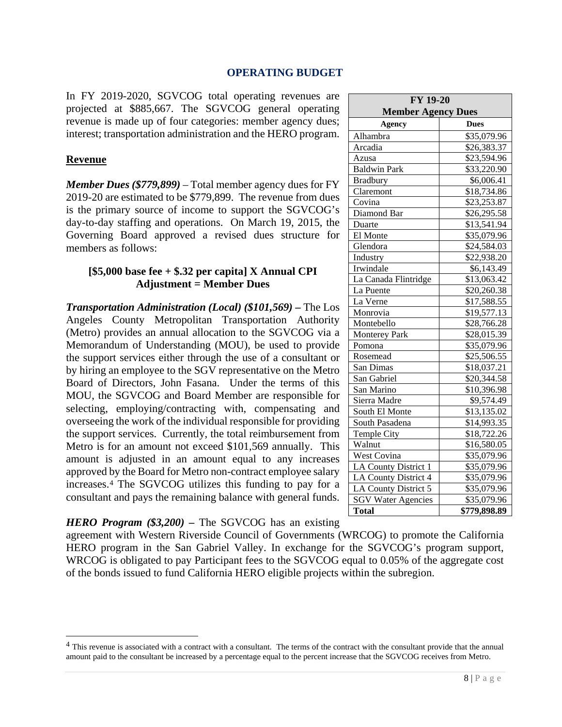#### **OPERATING BUDGET**

<span id="page-7-0"></span>In FY 2019-2020, SGVCOG total operating revenues are projected at \$885,667. The SGVCOG general operating revenue is made up of four categories: member agency dues; interest; transportation administration and the HERO program.

#### **Revenue**

*Member Dues (\$779,899)* – Total member agency dues for FY 2019-20 are estimated to be \$779,899. The revenue from dues is the primary source of income to support the SGVCOG's day-to-day staffing and operations. On March 19, 2015, the Governing Board approved a revised dues structure for members as follows:

#### **[\$5,000 base fee + \$.32 per capita] X Annual CPI Adjustment = Member Dues**

*Transportation Administration (Local) (\$101,569) –* The Los Angeles County Metropolitan Transportation Authority (Metro) provides an annual allocation to the SGVCOG via a Memorandum of Understanding (MOU), be used to provide the support services either through the use of a consultant or by hiring an employee to the SGV representative on the Metro Board of Directors, John Fasana. Under the terms of this MOU, the SGVCOG and Board Member are responsible for selecting, employing/contracting with, compensating and overseeing the work of the individual responsible for providing the support services. Currently, the total reimbursement from Metro is for an amount not exceed \$101,569 annually. This amount is adjusted in an amount equal to any increases approved by the Board for Metro non-contract employee salary increases[.4](#page-7-1) The SGVCOG utilizes this funding to pay for a consultant and pays the remaining balance with general funds.

## *HERO Program (\$3,200) –* The SGVCOG has an existing

agreement with Western Riverside Council of Governments (WRCOG) to promote the California HERO program in the San Gabriel Valley. In exchange for the SGVCOG's program support, WRCOG is obligated to pay Participant fees to the SGVCOG equal to 0.05% of the aggregate cost of the bonds issued to fund California HERO eligible projects within the subregion.

| FY 19-20<br><b>Member Agency Dues</b> |                         |  |  |  |
|---------------------------------------|-------------------------|--|--|--|
| <b>Dues</b><br><b>Agency</b>          |                         |  |  |  |
| Alhambra                              | \$35,079.96             |  |  |  |
| Arcadia                               | \$26,383.37             |  |  |  |
| Azusa                                 | \$23,594.96             |  |  |  |
| <b>Baldwin Park</b>                   | \$33,220.90             |  |  |  |
| <b>Bradbury</b>                       | \$6,006.41              |  |  |  |
| Claremont                             | \$18,734.86             |  |  |  |
| Covina                                | \$23,253.87             |  |  |  |
| Diamond Bar                           | \$26,295.58             |  |  |  |
| Duarte                                | \$13,541.94             |  |  |  |
| El Monte                              | \$35,079.96             |  |  |  |
| Glendora                              | \$24,584.03             |  |  |  |
| Industry                              | \$22,938.20             |  |  |  |
| Irwindale                             | \$6,143.49              |  |  |  |
| La Canada Flintridge                  | \$13,063.42             |  |  |  |
| La Puente                             | \$20,260.38             |  |  |  |
| La Verne                              | \$17,588.55             |  |  |  |
| Monrovia                              | \$19,577.13             |  |  |  |
| Montebello                            | \$28,766.28             |  |  |  |
| <b>Monterey Park</b>                  | \$28,015.39             |  |  |  |
| Pomona                                | \$35,079.96             |  |  |  |
| Rosemead                              | \$25,506.55             |  |  |  |
| San Dimas                             | \$18,037.21             |  |  |  |
| San Gabriel                           | \$20,344.58             |  |  |  |
| San Marino                            | \$10,396.98             |  |  |  |
| Sierra Madre                          | \$9,574.49              |  |  |  |
| South El Monte                        | \$13,135.02             |  |  |  |
| South Pasadena                        | \$14,993.35             |  |  |  |
| Temple City                           | \$18,722.26             |  |  |  |
| Walnut                                | $\overline{$16,580.05}$ |  |  |  |
| West Covina                           | \$35,079.96             |  |  |  |
| LA County District 1                  | \$35,079.96             |  |  |  |
| LA County District 4                  | \$35,079.96             |  |  |  |
| LA County District 5                  | \$35,079.96             |  |  |  |
| <b>SGV Water Agencies</b>             | \$35,079.96             |  |  |  |
| <b>Total</b>                          | \$779,898.89            |  |  |  |

<span id="page-7-1"></span><sup>&</sup>lt;sup>4</sup> This revenue is associated with a contract with a consultant. The terms of the contract with the consultant provide that the annual amount paid to the consultant be increased by a percentage equal to the percent increase that the SGVCOG receives from Metro.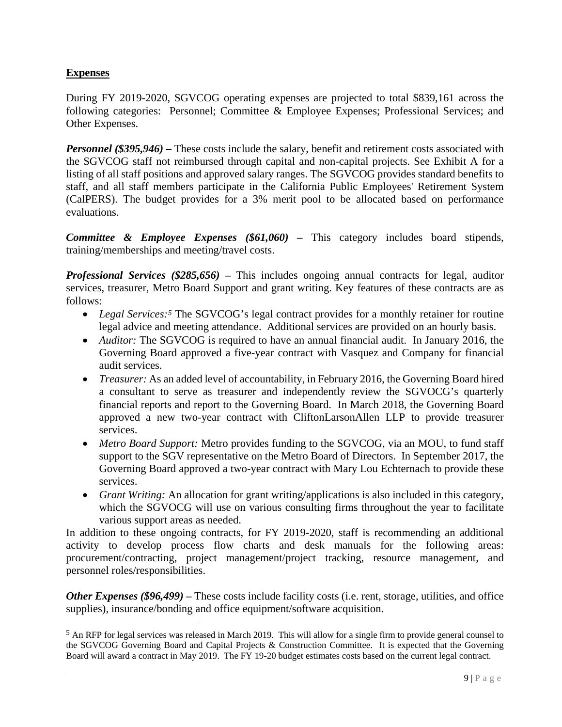## **Expenses**

During FY 2019-2020, SGVCOG operating expenses are projected to total \$839,161 across the following categories: Personnel; Committee & Employee Expenses; Professional Services; and Other Expenses.

*Personnel (\$395,946)* – These costs include the salary, benefit and retirement costs associated with the SGVCOG staff not reimbursed through capital and non-capital projects. See Exhibit A for a listing of all staff positions and approved salary ranges. The SGVCOG provides standard benefits to staff, and all staff members participate in the California Public Employees' Retirement System (CalPERS). The budget provides for a 3% merit pool to be allocated based on performance evaluations.

*Committee & Employee Expenses (\$61,060) –* This category includes board stipends, training/memberships and meeting/travel costs.

*Professional Services (\$285,656) –* This includes ongoing annual contracts for legal, auditor services, treasurer, Metro Board Support and grant writing. Key features of these contracts are as follows:

- *Legal Services:*<sup>[5](#page-8-0)</sup> The SGVCOG's legal contract provides for a monthly retainer for routine legal advice and meeting attendance. Additional services are provided on an hourly basis.
- *Auditor:* The SGVCOG is required to have an annual financial audit. In January 2016, the Governing Board approved a five-year contract with Vasquez and Company for financial audit services.
- *Treasurer:* As an added level of accountability, in February 2016, the Governing Board hired a consultant to serve as treasurer and independently review the SGVOCG's quarterly financial reports and report to the Governing Board. In March 2018, the Governing Board approved a new two-year contract with CliftonLarsonAllen LLP to provide treasurer services.
- *Metro Board Support:* Metro provides funding to the SGVCOG, via an MOU, to fund staff support to the SGV representative on the Metro Board of Directors. In September 2017, the Governing Board approved a two-year contract with Mary Lou Echternach to provide these services.
- *Grant Writing:* An allocation for grant writing/applications is also included in this category, which the SGVOCG will use on various consulting firms throughout the year to facilitate various support areas as needed.

In addition to these ongoing contracts, for FY 2019-2020, staff is recommending an additional activity to develop process flow charts and desk manuals for the following areas: procurement/contracting, project management/project tracking, resource management, and personnel roles/responsibilities.

*Other Expenses (\$96,499)* – These costs include facility costs (i.e. rent, storage, utilities, and office supplies), insurance/bonding and office equipment/software acquisition.

<span id="page-8-0"></span> <sup>5</sup> An RFP for legal services was released in March 2019. This will allow for a single firm to provide general counsel to the SGVCOG Governing Board and Capital Projects & Construction Committee. It is expected that the Governing Board will award a contract in May 2019. The FY 19-20 budget estimates costs based on the current legal contract.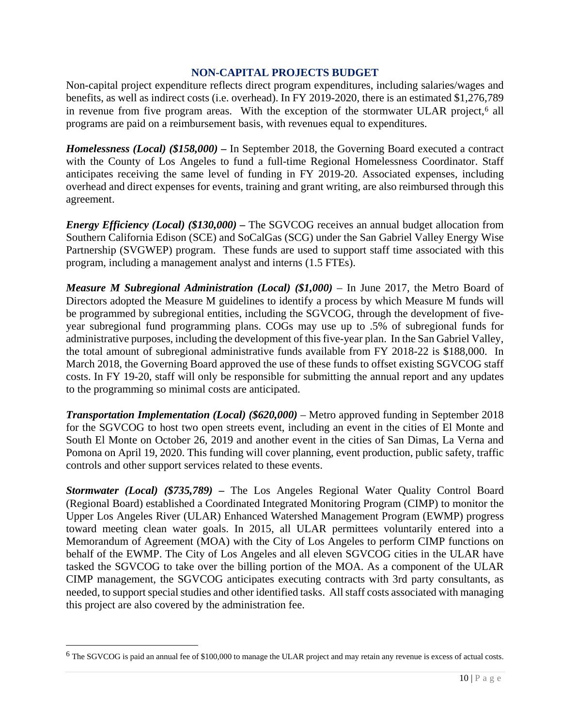#### **NON-CAPITAL PROJECTS BUDGET**

<span id="page-9-0"></span>Non-capital project expenditure reflects direct program expenditures, including salaries/wages and benefits, as well as indirect costs (i.e. overhead). In FY 2019-2020, there is an estimated \$1,276,789 in revenue from five program areas. With the exception of the stormwater ULAR project,<sup>[6](#page-9-1)</sup> all programs are paid on a reimbursement basis, with revenues equal to expenditures.

*Homelessness (Local) (\$158,000) –* In September 2018, the Governing Board executed a contract with the County of Los Angeles to fund a full-time Regional Homelessness Coordinator. Staff anticipates receiving the same level of funding in FY 2019-20. Associated expenses, including overhead and direct expenses for events, training and grant writing, are also reimbursed through this agreement.

*Energy Efficiency (Local) (\$130,000) –* The SGVCOG receives an annual budget allocation from Southern California Edison (SCE) and SoCalGas (SCG) under the San Gabriel Valley Energy Wise Partnership (SVGWEP) program. These funds are used to support staff time associated with this program, including a management analyst and interns (1.5 FTEs).

*Measure M Subregional Administration (Local) (\$1,000)* – In June 2017, the Metro Board of Directors adopted the Measure M guidelines to identify a process by which Measure M funds will be programmed by subregional entities, including the SGVCOG, through the development of fiveyear subregional fund programming plans. COGs may use up to .5% of subregional funds for administrative purposes, including the development of this five-year plan. In the San Gabriel Valley, the total amount of subregional administrative funds available from FY 2018-22 is \$188,000. In March 2018, the Governing Board approved the use of these funds to offset existing SGVCOG staff costs. In FY 19-20, staff will only be responsible for submitting the annual report and any updates to the programming so minimal costs are anticipated.

*Transportation Implementation (Local) (\$620,000)* – Metro approved funding in September 2018 for the SGVCOG to host two open streets event, including an event in the cities of El Monte and South El Monte on October 26, 2019 and another event in the cities of San Dimas, La Verna and Pomona on April 19, 2020. This funding will cover planning, event production, public safety, traffic controls and other support services related to these events.

*Stormwater (Local) (\$735,789) –* The Los Angeles Regional Water Quality Control Board (Regional Board) established a Coordinated Integrated Monitoring Program (CIMP) to monitor the Upper Los Angeles River (ULAR) Enhanced Watershed Management Program (EWMP) progress toward meeting clean water goals. In 2015, all ULAR permittees voluntarily entered into a Memorandum of Agreement (MOA) with the City of Los Angeles to perform CIMP functions on behalf of the EWMP. The City of Los Angeles and all eleven SGVCOG cities in the ULAR have tasked the SGVCOG to take over the billing portion of the MOA. As a component of the ULAR CIMP management, the SGVCOG anticipates executing contracts with 3rd party consultants, as needed, to support special studies and other identified tasks. All staff costs associated with managing this project are also covered by the administration fee.

<span id="page-9-1"></span> <sup>6</sup> The SGVCOG is paid an annual fee of \$100,000 to manage the ULAR project and may retain any revenue is excess of actual costs.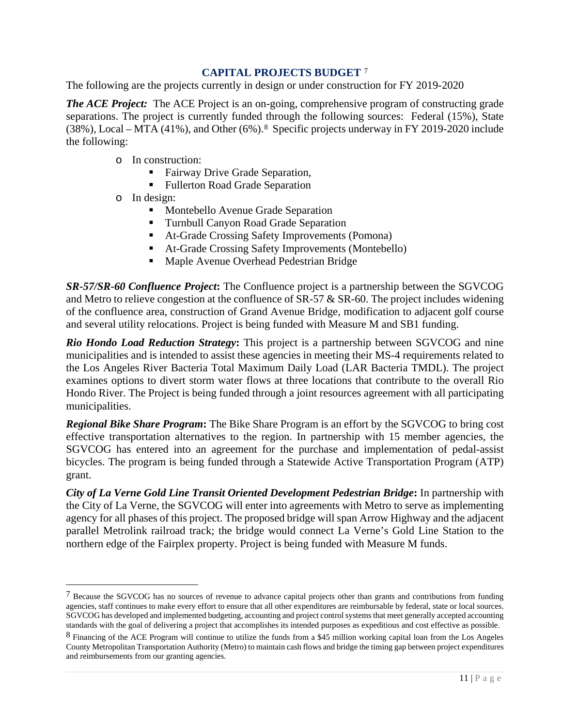## **CAPITAL PROJECTS BUDGET** [7](#page-10-1)

<span id="page-10-0"></span>The following are the projects currently in design or under construction for FY 2019-2020

*The ACE Project:* The ACE Project is an on-going, comprehensive program of constructing grade separations. The project is currently funded through the following sources: Federal (15%), State (38%), Local – MTA (41%), and Other (6%).[8](#page-10-2) Specific projects underway in FY 2019-2020 include the following:

- o In construction:
	- Fairway Drive Grade Separation,
	- Fullerton Road Grade Separation
- o In design:

 $\overline{a}$ 

- **Montebello Avenue Grade Separation**
- Turnbull Canyon Road Grade Separation
- At-Grade Crossing Safety Improvements (Pomona)
- At-Grade Crossing Safety Improvements (Montebello)
- Maple Avenue Overhead Pedestrian Bridge

*SR-57/SR-60 Confluence Project***:** The Confluence project is a partnership between the SGVCOG and Metro to relieve congestion at the confluence of SR-57 & SR-60. The project includes widening of the confluence area, construction of Grand Avenue Bridge, modification to adjacent golf course and several utility relocations. Project is being funded with Measure M and SB1 funding.

*Rio Hondo Load Reduction Strategy***:** This project is a partnership between SGVCOG and nine municipalities and is intended to assist these agencies in meeting their MS-4 requirements related to the Los Angeles River Bacteria Total Maximum Daily Load (LAR Bacteria TMDL). The project examines options to divert storm water flows at three locations that contribute to the overall Rio Hondo River. The Project is being funded through a joint resources agreement with all participating municipalities.

*Regional Bike Share Program***:** The Bike Share Program is an effort by the SGVCOG to bring cost effective transportation alternatives to the region. In partnership with 15 member agencies, the SGVCOG has entered into an agreement for the purchase and implementation of pedal-assist bicycles. The program is being funded through a Statewide Active Transportation Program (ATP) grant.

*City of La Verne Gold Line Transit Oriented Development Pedestrian Bridge***:** In partnership with the City of La Verne, the SGVCOG will enter into agreements with Metro to serve as implementing agency for all phases of this project. The proposed bridge will span Arrow Highway and the adjacent parallel Metrolink railroad track; the bridge would connect La Verne's Gold Line Station to the northern edge of the Fairplex property. Project is being funded with Measure M funds.

<span id="page-10-1"></span><sup>7</sup> Because the SGVCOG has no sources of revenue to advance capital projects other than grants and contributions from funding agencies, staff continues to make every effort to ensure that all other expenditures are reimbursable by federal, state or local sources. SGVCOG has developed and implemented budgeting, accounting and project control systems that meet generally accepted accounting standards with the goal of delivering a project that accomplishes its intended purposes as expeditious and cost effective as possible.

<span id="page-10-2"></span><sup>8</sup> Financing of the ACE Program will continue to utilize the funds from a \$45 million working capital loan from the Los Angeles County Metropolitan Transportation Authority (Metro) to maintain cash flows and bridge the timing gap between project expenditures and reimbursements from our granting agencies.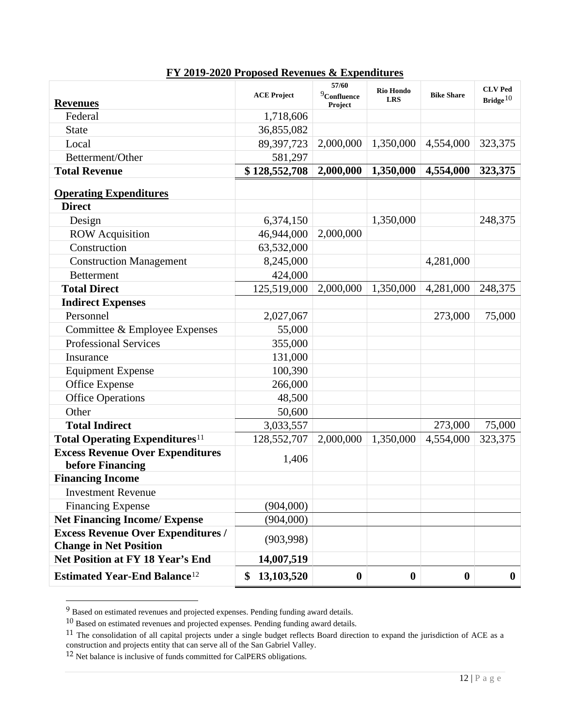| <b>Revenues</b>                                                            | <b>ACE Project</b> | 57/60<br>$9$ Confluence<br>Project | <b>Rio Hondo</b><br><b>LRS</b> | <b>Bike Share</b> | <b>CLV Ped</b><br>Bridge $10$ |
|----------------------------------------------------------------------------|--------------------|------------------------------------|--------------------------------|-------------------|-------------------------------|
| Federal                                                                    | 1,718,606          |                                    |                                |                   |                               |
| <b>State</b>                                                               | 36,855,082         |                                    |                                |                   |                               |
| Local                                                                      | 89,397,723         | 2,000,000                          | 1,350,000                      | 4,554,000         | 323,375                       |
| Betterment/Other                                                           | 581,297            |                                    |                                |                   |                               |
| <b>Total Revenue</b>                                                       | \$128,552,708      | 2,000,000                          | 1,350,000                      | 4,554,000         | 323,375                       |
| <b>Operating Expenditures</b>                                              |                    |                                    |                                |                   |                               |
| <b>Direct</b>                                                              |                    |                                    |                                |                   |                               |
| Design                                                                     | 6,374,150          |                                    | 1,350,000                      |                   | 248,375                       |
| <b>ROW</b> Acquisition                                                     | 46,944,000         | 2,000,000                          |                                |                   |                               |
| Construction                                                               | 63,532,000         |                                    |                                |                   |                               |
| <b>Construction Management</b>                                             | 8,245,000          |                                    |                                | 4,281,000         |                               |
| <b>Betterment</b>                                                          | 424,000            |                                    |                                |                   |                               |
| <b>Total Direct</b>                                                        | 125,519,000        | 2,000,000                          | 1,350,000                      | 4,281,000         | 248,375                       |
| <b>Indirect Expenses</b>                                                   |                    |                                    |                                |                   |                               |
| Personnel                                                                  | 2,027,067          |                                    |                                | 273,000           | 75,000                        |
| Committee & Employee Expenses                                              | 55,000             |                                    |                                |                   |                               |
| <b>Professional Services</b>                                               | 355,000            |                                    |                                |                   |                               |
| Insurance                                                                  | 131,000            |                                    |                                |                   |                               |
| <b>Equipment Expense</b>                                                   | 100,390            |                                    |                                |                   |                               |
| Office Expense                                                             | 266,000            |                                    |                                |                   |                               |
| <b>Office Operations</b>                                                   | 48,500             |                                    |                                |                   |                               |
| Other                                                                      | 50,600             |                                    |                                |                   |                               |
| <b>Total Indirect</b>                                                      | 3,033,557          |                                    |                                | 273,000           | 75,000                        |
| <b>Total Operating Expenditures</b> <sup>11</sup>                          | 128,552,707        | 2,000,000                          | 1,350,000                      | 4,554,000         | 323,375                       |
| <b>Excess Revenue Over Expenditures</b><br>before Financing                | 1,406              |                                    |                                |                   |                               |
| <b>Financing Income</b>                                                    |                    |                                    |                                |                   |                               |
| <b>Investment Revenue</b>                                                  |                    |                                    |                                |                   |                               |
| <b>Financing Expense</b>                                                   | (904,000)          |                                    |                                |                   |                               |
| <b>Net Financing Income/ Expense</b>                                       | (904,000)          |                                    |                                |                   |                               |
| <b>Excess Revenue Over Expenditures /</b><br><b>Change in Net Position</b> | (903, 998)         |                                    |                                |                   |                               |
| <b>Net Position at FY 18 Year's End</b>                                    | 14,007,519         |                                    |                                |                   |                               |
| <b>Estimated Year-End Balance</b> <sup>12</sup>                            | 13,103,520<br>\$   | $\boldsymbol{0}$                   | $\boldsymbol{0}$               | $\boldsymbol{0}$  | $\bf{0}$                      |

## **FY 2019-2020 Proposed Revenues & Expenditures**

<span id="page-11-1"></span><span id="page-11-0"></span> $9$  Based on estimated revenues and projected expenses. Pending funding award details.

<sup>10</sup> Based on estimated revenues and projected expenses. Pending funding award details.

<span id="page-11-2"></span> $11$  The consolidation of all capital projects under a single budget reflects Board direction to expand the jurisdiction of ACE as a construction and projects entity that can serve all of the San Gabriel Valley.

<span id="page-11-3"></span><sup>&</sup>lt;sup>12</sup> Net balance is inclusive of funds committed for CalPERS obligations.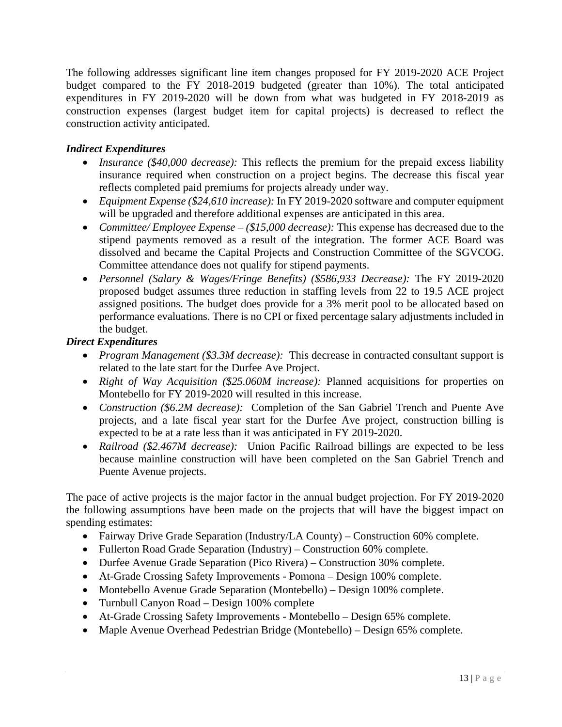The following addresses significant line item changes proposed for FY 2019-2020 ACE Project budget compared to the FY 2018-2019 budgeted (greater than 10%). The total anticipated expenditures in FY 2019-2020 will be down from what was budgeted in FY 2018-2019 as construction expenses (largest budget item for capital projects) is decreased to reflect the construction activity anticipated.

## *Indirect Expenditures*

- *Insurance* (\$40,000 *decrease*): This reflects the premium for the prepaid excess liability insurance required when construction on a project begins. The decrease this fiscal year reflects completed paid premiums for projects already under way.
- *Equipment Expense (\$24,610 increase):* In FY 2019-2020 software and computer equipment will be upgraded and therefore additional expenses are anticipated in this area.
- *Committee/ Employee Expense – (\$15,000 decrease):* This expense has decreased due to the stipend payments removed as a result of the integration. The former ACE Board was dissolved and became the Capital Projects and Construction Committee of the SGVCOG. Committee attendance does not qualify for stipend payments.
- *Personnel (Salary & Wages/Fringe Benefits) (\$586,933 Decrease):* The FY 2019-2020 proposed budget assumes three reduction in staffing levels from 22 to 19.5 ACE project assigned positions. The budget does provide for a 3% merit pool to be allocated based on performance evaluations. There is no CPI or fixed percentage salary adjustments included in the budget.

## *Direct Expenditures*

- *Program Management (\$3.3M decrease)*: This decrease in contracted consultant support is related to the late start for the Durfee Ave Project.
- *Right of Way Acquisition (\$25.060M increase):* Planned acquisitions for properties on Montebello for FY 2019-2020 will resulted in this increase.
- *Construction (\$6.2M decrease):* Completion of the San Gabriel Trench and Puente Ave projects, and a late fiscal year start for the Durfee Ave project, construction billing is expected to be at a rate less than it was anticipated in FY 2019-2020.
- *Railroad (\$2.467M decrease):* Union Pacific Railroad billings are expected to be less because mainline construction will have been completed on the San Gabriel Trench and Puente Avenue projects.

The pace of active projects is the major factor in the annual budget projection. For FY 2019-2020 the following assumptions have been made on the projects that will have the biggest impact on spending estimates:

- Fairway Drive Grade Separation (Industry/LA County) Construction 60% complete.
- Fullerton Road Grade Separation (Industry) Construction 60% complete.
- Durfee Avenue Grade Separation (Pico Rivera) Construction 30% complete.
- At-Grade Crossing Safety Improvements Pomona Design 100% complete.
- Montebello Avenue Grade Separation (Montebello) Design 100% complete.
- Turnbull Canyon Road Design 100% complete
- At-Grade Crossing Safety Improvements Montebello Design 65% complete.
- Maple Avenue Overhead Pedestrian Bridge (Montebello) Design 65% complete.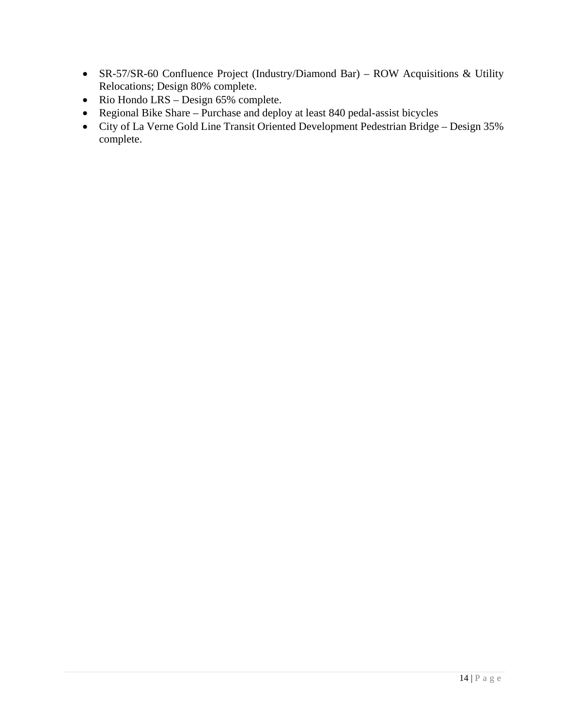- SR-57/SR-60 Confluence Project (Industry/Diamond Bar) ROW Acquisitions & Utility Relocations; Design 80% complete.
- Rio Hondo LRS Design 65% complete.
- Regional Bike Share Purchase and deploy at least 840 pedal-assist bicycles
- <span id="page-13-0"></span>• City of La Verne Gold Line Transit Oriented Development Pedestrian Bridge – Design 35% complete.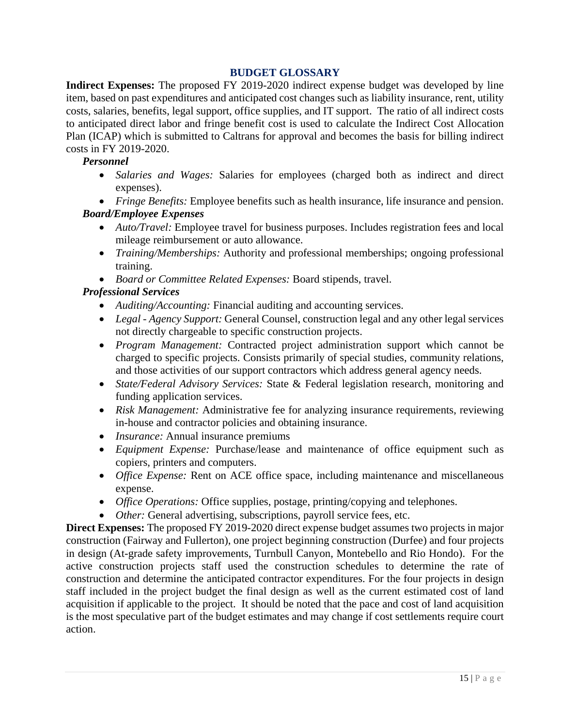## **BUDGET GLOSSARY**

**Indirect Expenses:** The proposed FY 2019-2020 indirect expense budget was developed by line item, based on past expenditures and anticipated cost changes such as liability insurance, rent, utility costs, salaries, benefits, legal support, office supplies, and IT support. The ratio of all indirect costs to anticipated direct labor and fringe benefit cost is used to calculate the Indirect Cost Allocation Plan (ICAP) which is submitted to Caltrans for approval and becomes the basis for billing indirect costs in FY 2019-2020.

#### *Personnel*

- *Salaries and Wages:* Salaries for employees (charged both as indirect and direct expenses).
- *Fringe Benefits:* Employee benefits such as health insurance, life insurance and pension.

## *Board/Employee Expenses*

- *Auto/Travel:* Employee travel for business purposes. Includes registration fees and local mileage reimbursement or auto allowance.
- *Training/Memberships:* Authority and professional memberships; ongoing professional training.
- *Board or Committee Related Expenses:* Board stipends, travel.

## *Professional Services*

- *Auditing/Accounting:* Financial auditing and accounting services.
- *Legal - Agency Support:* General Counsel, construction legal and any other legal services not directly chargeable to specific construction projects.
- *Program Management:* Contracted project administration support which cannot be charged to specific projects. Consists primarily of special studies, community relations, and those activities of our support contractors which address general agency needs.
- *State/Federal Advisory Services:* State & Federal legislation research, monitoring and funding application services.
- *Risk Management:* Administrative fee for analyzing insurance requirements, reviewing in-house and contractor policies and obtaining insurance.
- *Insurance:* Annual insurance premiums
- *Equipment Expense:* Purchase/lease and maintenance of office equipment such as copiers, printers and computers.
- *Office Expense:* Rent on ACE office space, including maintenance and miscellaneous expense.
- *Office Operations:* Office supplies, postage, printing/copying and telephones.
- *Other:* General advertising, subscriptions, payroll service fees, etc.

**Direct Expenses:** The proposed FY 2019-2020 direct expense budget assumes two projects in major construction (Fairway and Fullerton), one project beginning construction (Durfee) and four projects in design (At-grade safety improvements, Turnbull Canyon, Montebello and Rio Hondo). For the active construction projects staff used the construction schedules to determine the rate of construction and determine the anticipated contractor expenditures. For the four projects in design staff included in the project budget the final design as well as the current estimated cost of land acquisition if applicable to the project. It should be noted that the pace and cost of land acquisition is the most speculative part of the budget estimates and may change if cost settlements require court action.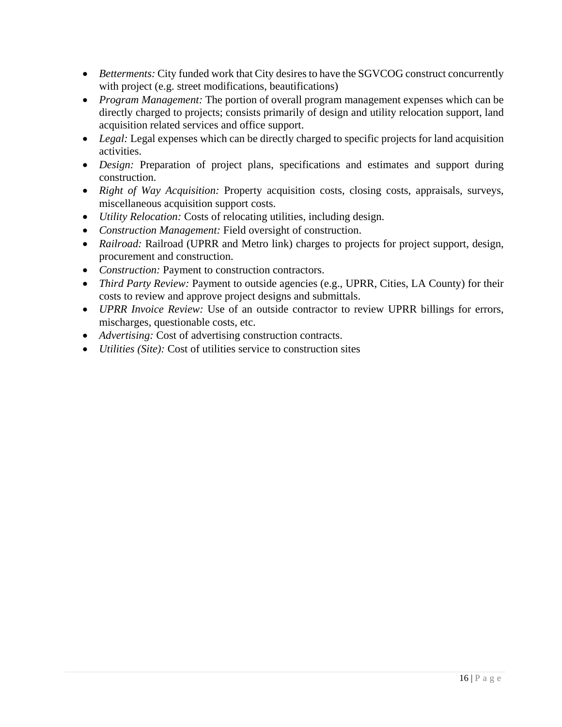- *Betterments:* City funded work that City desires to have the SGVCOG construct concurrently with project (e.g. street modifications, beautifications)
- *Program Management:* The portion of overall program management expenses which can be directly charged to projects; consists primarily of design and utility relocation support, land acquisition related services and office support.
- *Legal:* Legal expenses which can be directly charged to specific projects for land acquisition activities.
- *Design:* Preparation of project plans, specifications and estimates and support during construction.
- *Right of Way Acquisition:* Property acquisition costs, closing costs, appraisals, surveys, miscellaneous acquisition support costs.
- *Utility Relocation:* Costs of relocating utilities, including design.
- *Construction Management:* Field oversight of construction.
- *Railroad:* Railroad (UPRR and Metro link) charges to projects for project support, design, procurement and construction.
- *Construction:* Payment to construction contractors.
- *Third Party Review: Payment to outside agencies (e.g., UPRR, Cities, LA County) for their* costs to review and approve project designs and submittals.
- *UPRR Invoice Review:* Use of an outside contractor to review UPRR billings for errors, mischarges, questionable costs, etc.
- *Advertising:* Cost of advertising construction contracts.
- *Utilities (Site):* Cost of utilities service to construction sites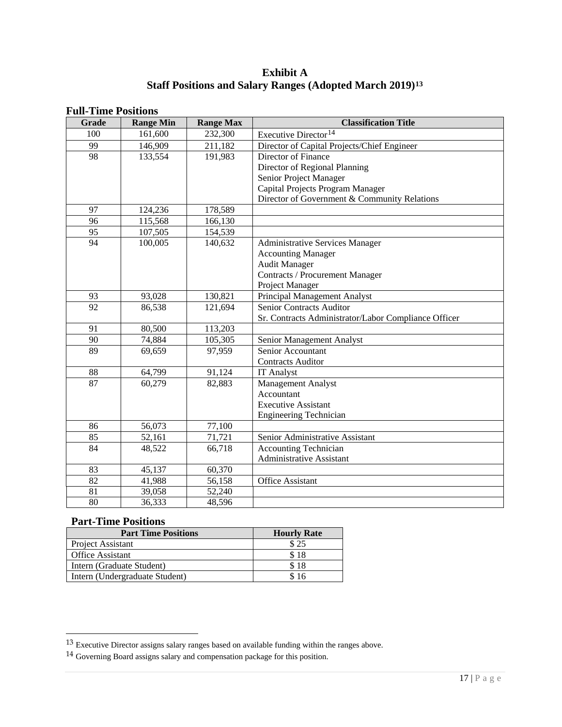## **Exhibit A Staff Positions and Salary Ranges (Adopted March 2019)[13](#page-16-0)**

|              | г ин-тише т оэнионэ |                  |                                                      |  |  |  |
|--------------|---------------------|------------------|------------------------------------------------------|--|--|--|
| <b>Grade</b> | <b>Range Min</b>    | <b>Range Max</b> | <b>Classification Title</b>                          |  |  |  |
| 100          | 161,600             | 232,300          | Executive Director <sup>14</sup>                     |  |  |  |
| 99           | 146,909             | 211,182          | Director of Capital Projects/Chief Engineer          |  |  |  |
| 98           | 133,554             | 191,983          | Director of Finance                                  |  |  |  |
|              |                     |                  | Director of Regional Planning                        |  |  |  |
|              |                     |                  | Senior Project Manager                               |  |  |  |
|              |                     |                  | Capital Projects Program Manager                     |  |  |  |
|              |                     |                  | Director of Government & Community Relations         |  |  |  |
| 97           | 124,236             | 178,589          |                                                      |  |  |  |
| 96           | 115,568             | 166,130          |                                                      |  |  |  |
| 95           | 107,505             | 154,539          |                                                      |  |  |  |
| 94           | 100,005             | 140,632          | <b>Administrative Services Manager</b>               |  |  |  |
|              |                     |                  | <b>Accounting Manager</b>                            |  |  |  |
|              |                     |                  | <b>Audit Manager</b>                                 |  |  |  |
|              |                     |                  | <b>Contracts / Procurement Manager</b>               |  |  |  |
|              |                     |                  | Project Manager                                      |  |  |  |
| 93           | 93,028              | 130,821          | Principal Management Analyst                         |  |  |  |
| 92           | 86,538              | 121,694          | Senior Contracts Auditor                             |  |  |  |
|              |                     |                  | Sr. Contracts Administrator/Labor Compliance Officer |  |  |  |
| 91           | 80,500              | 113,203          |                                                      |  |  |  |
| 90           | 74,884              | 105,305          | Senior Management Analyst                            |  |  |  |
| 89           | 69,659              | 97,959           | Senior Accountant                                    |  |  |  |
|              |                     |                  | <b>Contracts Auditor</b>                             |  |  |  |
| 88           | 64,799              | 91,124           | <b>IT Analyst</b>                                    |  |  |  |
| 87           | 60,279              | 82,883           | Management Analyst                                   |  |  |  |
|              |                     |                  | Accountant                                           |  |  |  |
|              |                     |                  | <b>Executive Assistant</b>                           |  |  |  |
|              |                     |                  | <b>Engineering Technician</b>                        |  |  |  |
| 86           | 56,073              | 77,100           |                                                      |  |  |  |
| 85           | 52,161              | 71,721           | Senior Administrative Assistant                      |  |  |  |
| 84           | 48,522              | 66,718           | <b>Accounting Technician</b>                         |  |  |  |
|              |                     |                  | <b>Administrative Assistant</b>                      |  |  |  |
| 83           | 45,137              | 60,370           |                                                      |  |  |  |
| 82           | 41,988              | 56,158           | <b>Office Assistant</b>                              |  |  |  |
| 81           | 39,058              | 52,240           |                                                      |  |  |  |
| 80           | 36,333              | 48,596           |                                                      |  |  |  |

#### **Full-Time Positions**

#### **Part-Time Positions**

| <b>Part Time Positions</b>     | <b>Hourly Rate</b> |
|--------------------------------|--------------------|
| Project Assistant              | \$25               |
| <b>Office Assistant</b>        | \$18               |
| Intern (Graduate Student)      | \$18               |
| Intern (Undergraduate Student) | \$16               |

<span id="page-16-0"></span> $13$  Executive Director assigns salary ranges based on available funding within the ranges above.

<span id="page-16-1"></span> $14$  Governing Board assigns salary and compensation package for this position.